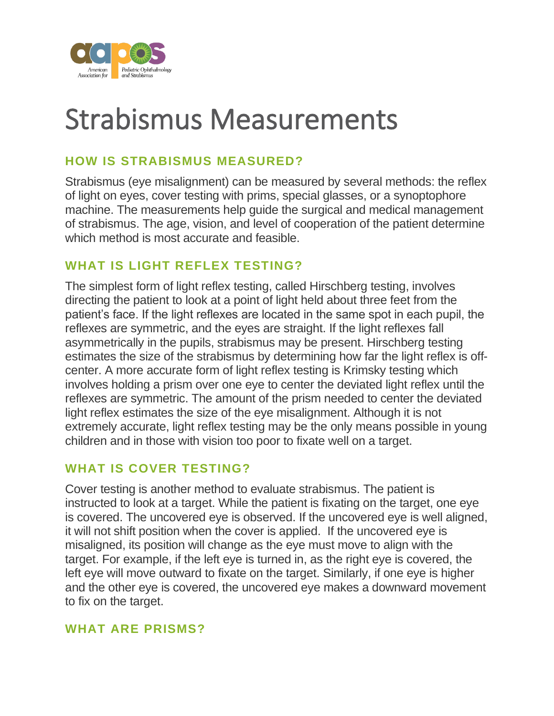

# Strabismus Measurements

# **HOW IS STRABISMUS MEASURED?**

Strabismus (eye misalignment) can be measured by several methods: the reflex of light on eyes, cover testing with prims, special glasses, or a synoptophore machine. The measurements help guide the surgical and medical management of strabismus. The age, vision, and level of cooperation of the patient determine which method is most accurate and feasible.

## **WHAT IS LIGHT REFLEX TESTING?**

The simplest form of light reflex testing, called Hirschberg testing, involves directing the patient to look at a point of light held about three feet from the patient's face. If the light reflexes are located in the same spot in each pupil, the reflexes are symmetric, and the eyes are straight. If the light reflexes fall asymmetrically in the pupils, strabismus may be present. Hirschberg testing estimates the size of the strabismus by determining how far the light reflex is offcenter. A more accurate form of light reflex testing is Krimsky testing which involves holding a prism over one eye to center the deviated light reflex until the reflexes are symmetric. The amount of the prism needed to center the deviated light reflex estimates the size of the eye misalignment. Although it is not extremely accurate, light reflex testing may be the only means possible in young children and in those with vision too poor to fixate well on a target.

## **WHAT IS COVER TESTING?**

Cover testing is another method to evaluate strabismus. The patient is instructed to look at a target. While the patient is fixating on the target, one eye is covered. The uncovered eye is observed. If the uncovered eye is well aligned, it will not shift position when the cover is applied. If the uncovered eye is misaligned, its position will change as the eye must move to align with the target. For example, if the left eye is turned in, as the right eye is covered, the left eye will move outward to fixate on the target. Similarly, if one eye is higher and the other eye is covered, the uncovered eye makes a downward movement to fix on the target.

#### **WHAT ARE PRISMS?**